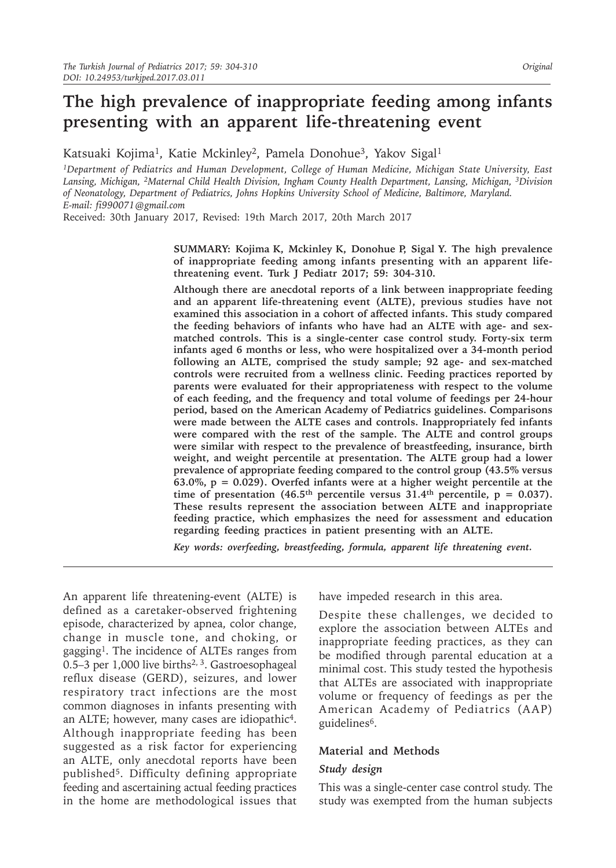# **The high prevalence of inappropriate feeding among infants presenting with an apparent life-threatening event**

Katsuaki Kojima<sup>1</sup>, Katie Mckinley<sup>2</sup>, Pamela Donohue<sup>3</sup>, Yakov Sigal<sup>1</sup>

*1Department of Pediatrics and Human Development, College of Human Medicine, Michigan State University, East Lansing, Michigan, 2Maternal Child Health Division, Ingham County Health Department, Lansing, Michigan, 3Division of Neonatology, Department of Pediatrics, Johns Hopkins University School of Medicine, Baltimore, Maryland. E-mail: fi990071@gmail.com*

Received: 30th January 2017, Revised: 19th March 2017, 20th March 2017

**SUMMARY: Kojima K, Mckinley K, Donohue P, Sigal Y. The high prevalence of inappropriate feeding among infants presenting with an apparent lifethreatening event. Turk J Pediatr 2017; 59: 304-310.**

**Although there are anecdotal reports of a link between inappropriate feeding and an apparent life-threatening event (ALTE), previous studies have not examined this association in a cohort of affected infants. This study compared the feeding behaviors of infants who have had an ALTE with age- and sexmatched controls. This is a single-center case control study. Forty-six term infants aged 6 months or less, who were hospitalized over a 34-month period following an ALTE, comprised the study sample; 92 age- and sex-matched controls were recruited from a wellness clinic. Feeding practices reported by parents were evaluated for their appropriateness with respect to the volume of each feeding, and the frequency and total volume of feedings per 24-hour period, based on the American Academy of Pediatrics guidelines. Comparisons were made between the ALTE cases and controls. Inappropriately fed infants were compared with the rest of the sample. The ALTE and control groups were similar with respect to the prevalence of breastfeeding, insurance, birth weight, and weight percentile at presentation. The ALTE group had a lower prevalence of appropriate feeding compared to the control group (43.5% versus 63.0%, p = 0.029). Overfed infants were at a higher weight percentile at the**  time of presentation  $(46.5<sup>th</sup>$  percentile versus  $31.4<sup>th</sup>$  percentile,  $p = 0.037$ . **These results represent the association between ALTE and inappropriate feeding practice, which emphasizes the need for assessment and education regarding feeding practices in patient presenting with an ALTE.**

*Key words: overfeeding, breastfeeding, formula, apparent life threatening event.*

An apparent life threatening-event (ALTE) is defined as a caretaker-observed frightening episode, characterized by apnea, color change, change in muscle tone, and choking, or gagging1. The incidence of ALTEs ranges from 0.5–3 per 1,000 live births<sup>2, 3</sup>. Gastroesophageal reflux disease (GERD), seizures, and lower respiratory tract infections are the most common diagnoses in infants presenting with an ALTE; however, many cases are idiopathic<sup>4</sup>. Although inappropriate feeding has been suggested as a risk factor for experiencing an ALTE, only anecdotal reports have been published5. Difficulty defining appropriate feeding and ascertaining actual feeding practices in the home are methodological issues that

have impeded research in this area.

Despite these challenges, we decided to explore the association between ALTEs and inappropriate feeding practices, as they can be modified through parental education at a minimal cost. This study tested the hypothesis that ALTEs are associated with inappropriate volume or frequency of feedings as per the American Academy of Pediatrics (AAP) guidelines6.

# **Material and Methods**

# *Study design*

This was a single-center case control study. The study was exempted from the human subjects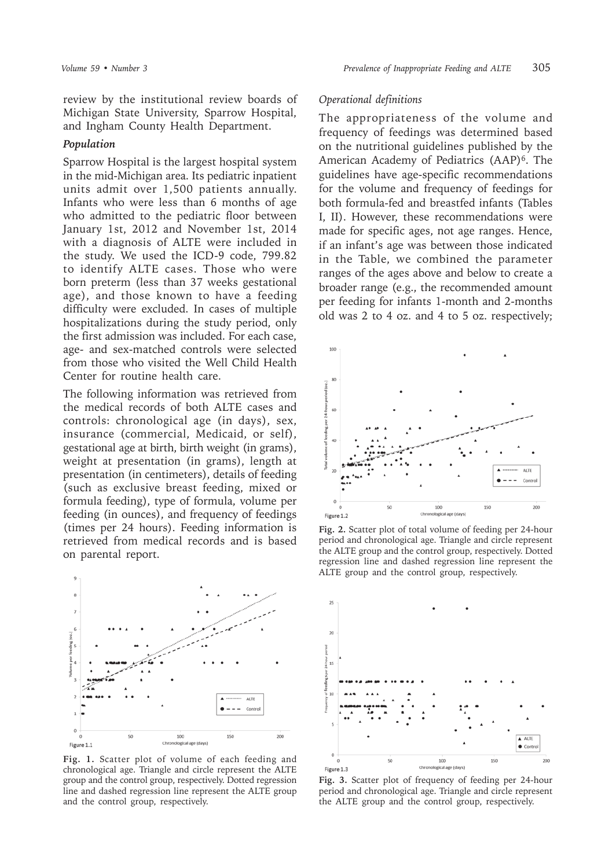review by the institutional review boards of Michigan State University, Sparrow Hospital, and Ingham County Health Department.

#### *Population*

Sparrow Hospital is the largest hospital system in the mid-Michigan area. Its pediatric inpatient units admit over 1,500 patients annually. Infants who were less than 6 months of age who admitted to the pediatric floor between January 1st, 2012 and November 1st, 2014 with a diagnosis of ALTE were included in the study. We used the ICD-9 code, 799.82 to identify ALTE cases. Those who were born preterm (less than 37 weeks gestational age), and those known to have a feeding difficulty were excluded. In cases of multiple hospitalizations during the study period, only the first admission was included. For each case, age- and sex-matched controls were selected from those who visited the Well Child Health Center for routine health care.

The following information was retrieved from the medical records of both ALTE cases and controls: chronological age (in days), sex, insurance (commercial, Medicaid, or self), gestational age at birth, birth weight (in grams), weight at presentation (in grams), length at presentation (in centimeters), details of feeding (such as exclusive breast feeding, mixed or formula feeding), type of formula, volume per feeding (in ounces), and frequency of feedings (times per 24 hours). Feeding information is retrieved from medical records and is based on parental report.



**Fig. 1.** Scatter plot of volume of each feeding and chronological age. Triangle and circle represent the ALTE group and the control group, respectively. Dotted regression line and dashed regression line represent the ALTE group and the control group, respectively.

### *Operational definitions*

The appropriateness of the volume and frequency of feedings was determined based on the nutritional guidelines published by the American Academy of Pediatrics (AAP)<sup>6</sup>. The guidelines have age-specific recommendations for the volume and frequency of feedings for both formula-fed and breastfed infants (Tables I, II). However, these recommendations were made for specific ages, not age ranges. Hence, if an infant's age was between those indicated in the Table, we combined the parameter ranges of the ages above and below to create a broader range (e.g., the recommended amount per feeding for infants 1-month and 2-months old was 2 to 4 oz. and 4 to 5 oz. respectively;



**Fig. 2.** Scatter plot of total volume of feeding per 24-hour period and chronological age. Triangle and circle represent the ALTE group and the control group, respectively. Dotted regression line and dashed regression line represent the ALTE group and the control group, respectively.



**Fig. 3.** Scatter plot of frequency of feeding per 24-hour period and chronological age. Triangle and circle represent the ALTE group and the control group, respectively.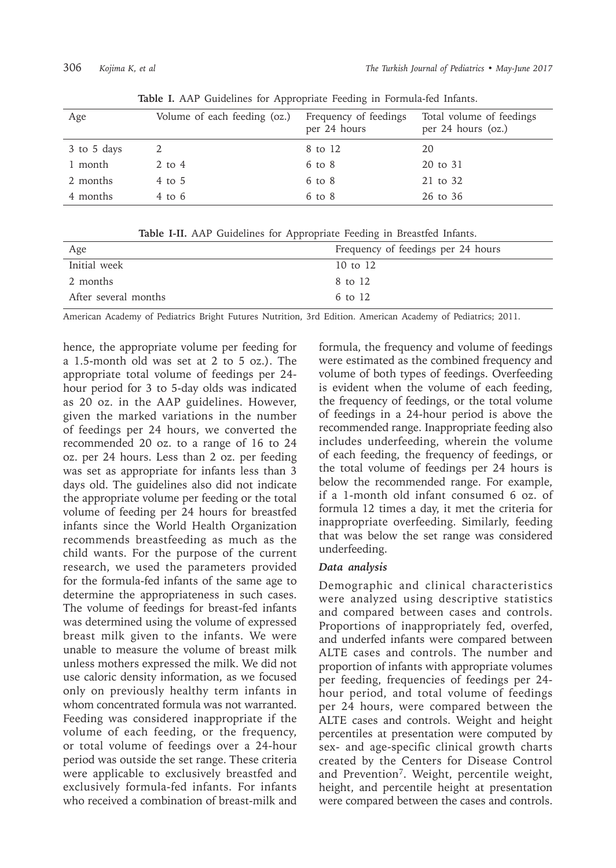| Age         | Volume of each feeding (oz.) | Frequency of feedings<br>per 24 hours | Total volume of feedings<br>per $24$ hours (oz.) |
|-------------|------------------------------|---------------------------------------|--------------------------------------------------|
| 3 to 5 days |                              | 8 to 12                               | 20                                               |
| 1 month     | $2$ to $4$                   | $6$ to $8$                            | 20 to 31                                         |
| 2 months    | $4$ to $5$                   | $6$ to $8$                            | 21 to 32                                         |
| 4 months    | $4$ to 6                     | $6 \text{ to } 8$                     | 26 to 36                                         |

**Table I.** AAP Guidelines for Appropriate Feeding in Formula-fed Infants.

|  |  |  |  |  | Table I-II. AAP Guidelines for Appropriate Feeding in Breastfed Infants. |  |  |  |  |
|--|--|--|--|--|--------------------------------------------------------------------------|--|--|--|--|
|--|--|--|--|--|--------------------------------------------------------------------------|--|--|--|--|

| Age                  | Frequency of feedings per 24 hours |
|----------------------|------------------------------------|
| Initial week         | 10 to 12                           |
| 2 months             | 8 to 12                            |
| After several months | 6 to 12                            |

American Academy of Pediatrics Bright Futures Nutrition, 3rd Edition. American Academy of Pediatrics; 2011.

hence, the appropriate volume per feeding for a 1.5-month old was set at 2 to 5 oz.). The appropriate total volume of feedings per 24 hour period for 3 to 5-day olds was indicated as 20 oz. in the AAP guidelines. However, given the marked variations in the number of feedings per 24 hours, we converted the recommended 20 oz. to a range of 16 to 24 oz. per 24 hours. Less than 2 oz. per feeding was set as appropriate for infants less than 3 days old. The guidelines also did not indicate the appropriate volume per feeding or the total volume of feeding per 24 hours for breastfed infants since the World Health Organization recommends breastfeeding as much as the child wants. For the purpose of the current research, we used the parameters provided for the formula-fed infants of the same age to determine the appropriateness in such cases. The volume of feedings for breast-fed infants was determined using the volume of expressed breast milk given to the infants. We were unable to measure the volume of breast milk unless mothers expressed the milk. We did not use caloric density information, as we focused only on previously healthy term infants in whom concentrated formula was not warranted. Feeding was considered inappropriate if the volume of each feeding, or the frequency, or total volume of feedings over a 24-hour period was outside the set range. These criteria were applicable to exclusively breastfed and exclusively formula-fed infants. For infants who received a combination of breast-milk and

formula, the frequency and volume of feedings were estimated as the combined frequency and volume of both types of feedings. Overfeeding is evident when the volume of each feeding, the frequency of feedings, or the total volume of feedings in a 24-hour period is above the recommended range. Inappropriate feeding also includes underfeeding, wherein the volume of each feeding, the frequency of feedings, or the total volume of feedings per 24 hours is below the recommended range. For example, if a 1-month old infant consumed 6 oz. of formula 12 times a day, it met the criteria for inappropriate overfeeding. Similarly, feeding that was below the set range was considered underfeeding.

# *Data analysis*

Demographic and clinical characteristics were analyzed using descriptive statistics and compared between cases and controls. Proportions of inappropriately fed, overfed, and underfed infants were compared between ALTE cases and controls. The number and proportion of infants with appropriate volumes per feeding, frequencies of feedings per 24 hour period, and total volume of feedings per 24 hours, were compared between the ALTE cases and controls. Weight and height percentiles at presentation were computed by sex- and age-specific clinical growth charts created by the Centers for Disease Control and Prevention7. Weight, percentile weight, height, and percentile height at presentation were compared between the cases and controls.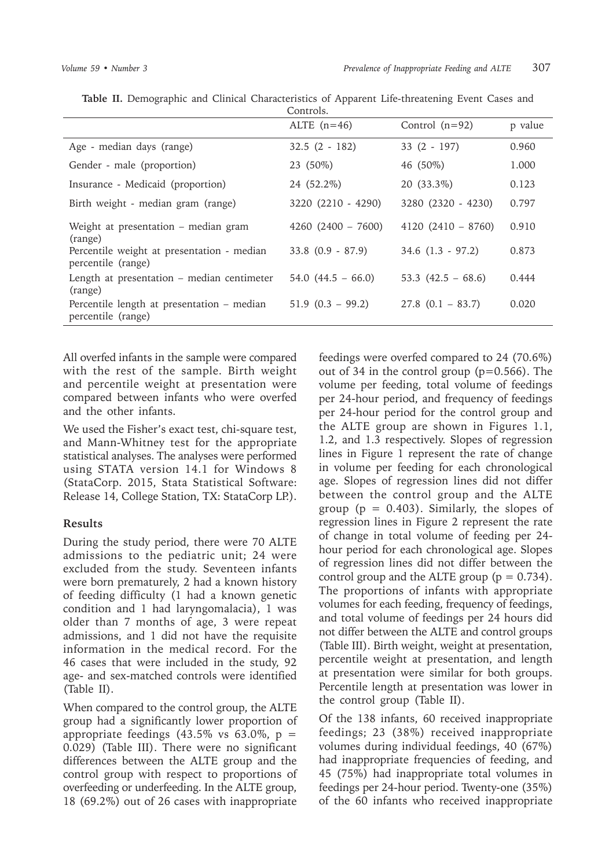|                                                                  | ALTE $(n=46)$         | Control $(n=92)$      | p value |
|------------------------------------------------------------------|-----------------------|-----------------------|---------|
| Age - median days (range)                                        | $32.5(2 - 182)$       | $33(2 - 197)$         | 0.960   |
| Gender - male (proportion)                                       | 23 (50%)              | 46 (50%)              | 1.000   |
| Insurance - Medicaid (proportion)                                | 24 (52.2%)            | 20 (33.3%)            | 0.123   |
| Birth weight - median gram (range)                               | 3220 (2210 - 4290)    | 3280 (2320 - 4230)    | 0.797   |
| Weight at presentation – median gram<br>(range)                  | $4260 (2400 - 7600)$  | $4120(2410-8760)$     | 0.910   |
| Percentile weight at presentation - median<br>percentile (range) | $33.8$ $(0.9 - 87.9)$ | $34.6$ $(1.3 - 97.2)$ | 0.873   |
| Length at presentation – median centimeter<br>(range)            | 54.0 $(44.5 - 66.0)$  | 53.3 $(42.5 - 68.6)$  | 0.444   |
| Percentile length at presentation - median<br>percentile (range) | $51.9$ $(0.3 - 99.2)$ | $27.8$ $(0.1 - 83.7)$ | 0.020   |

**Table II.** Demographic and Clinical Characteristics of Apparent Life-threatening Event Cases and Controls.

All overfed infants in the sample were compared with the rest of the sample. Birth weight and percentile weight at presentation were compared between infants who were overfed and the other infants.

We used the Fisher's exact test, chi-square test, and Mann-Whitney test for the appropriate statistical analyses. The analyses were performed using STATA version 14.1 for Windows 8 (StataCorp. 2015, Stata Statistical Software: Release 14, College Station, TX: StataCorp LP.).

#### **Results**

During the study period, there were 70 ALTE admissions to the pediatric unit; 24 were excluded from the study. Seventeen infants were born prematurely, 2 had a known history of feeding difficulty (1 had a known genetic condition and 1 had laryngomalacia), 1 was older than 7 months of age, 3 were repeat admissions, and 1 did not have the requisite information in the medical record. For the 46 cases that were included in the study, 92 age- and sex-matched controls were identified (Table II).

When compared to the control group, the ALTE group had a significantly lower proportion of appropriate feedings  $(43.5\% \text{ vs } 63.0\% \text{, } p =$ 0.029) (Table III). There were no significant differences between the ALTE group and the control group with respect to proportions of overfeeding or underfeeding. In the ALTE group, 18 (69.2%) out of 26 cases with inappropriate

feedings were overfed compared to 24 (70.6%) out of 34 in the control group (p=0.566). The volume per feeding, total volume of feedings per 24-hour period, and frequency of feedings per 24-hour period for the control group and the ALTE group are shown in Figures 1.1, 1.2, and 1.3 respectively. Slopes of regression lines in Figure 1 represent the rate of change in volume per feeding for each chronological age. Slopes of regression lines did not differ between the control group and the ALTE group ( $p = 0.403$ ). Similarly, the slopes of regression lines in Figure 2 represent the rate of change in total volume of feeding per 24 hour period for each chronological age. Slopes of regression lines did not differ between the control group and the ALTE group ( $p = 0.734$ ). The proportions of infants with appropriate volumes for each feeding, frequency of feedings, and total volume of feedings per 24 hours did not differ between the ALTE and control groups (Table III). Birth weight, weight at presentation, percentile weight at presentation, and length at presentation were similar for both groups. Percentile length at presentation was lower in the control group (Table II).

Of the 138 infants, 60 received inappropriate feedings; 23 (38%) received inappropriate volumes during individual feedings, 40 (67%) had inappropriate frequencies of feeding, and 45 (75%) had inappropriate total volumes in feedings per 24-hour period. Twenty-one (35%) of the 60 infants who received inappropriate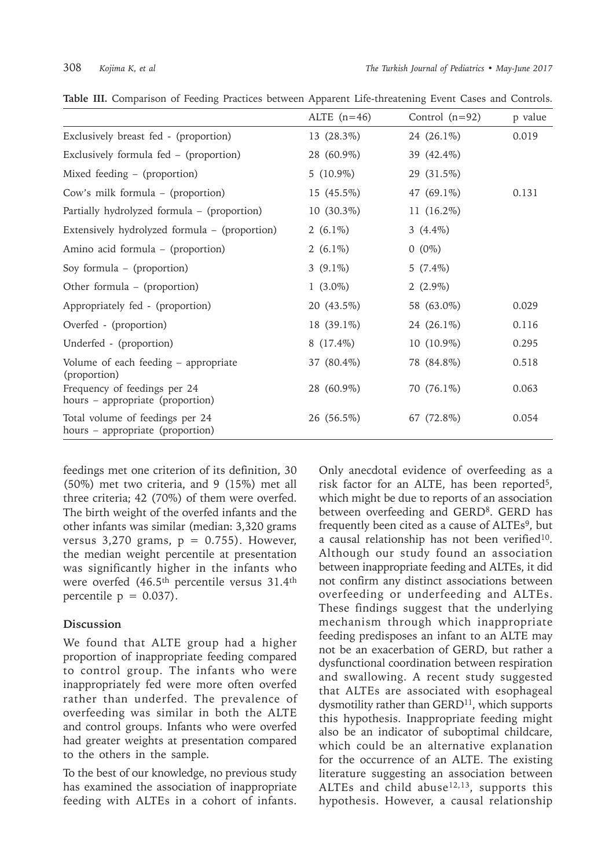|                                                                     | ALTE $(n=46)$ | Control $(n=92)$ | p value |
|---------------------------------------------------------------------|---------------|------------------|---------|
| Exclusively breast fed - (proportion)                               | 13 (28.3%)    | 24 (26.1%)       | 0.019   |
| Exclusively formula fed – (proportion)                              | 28 (60.9%)    | 39 (42.4%)       |         |
| Mixed feeding – (proportion)                                        | 5 $(10.9\%)$  | 29 (31.5%)       |         |
| Cow's milk formula - (proportion)                                   | 15 (45.5%)    | 47 (69.1%)       | 0.131   |
| Partially hydrolyzed formula - (proportion)                         | 10 (30.3%)    | 11 (16.2%)       |         |
| Extensively hydrolyzed formula – (proportion)                       | 2 $(6.1\%)$   | 3 $(4.4\%)$      |         |
| Amino acid formula – (proportion)                                   | 2 $(6.1\%)$   | $0(0\%)$         |         |
| Soy formula - (proportion)                                          | 3 $(9.1\%)$   | 5 $(7.4\%)$      |         |
| Other formula - (proportion)                                        | 1 $(3.0\%)$   | $2(2.9\%)$       |         |
| Appropriately fed - (proportion)                                    | 20 (43.5%)    | 58 (63.0%)       | 0.029   |
| Overfed - (proportion)                                              | $18(39.1\%)$  | 24 (26.1%)       | 0.116   |
| Underfed - (proportion)                                             | $8(17.4\%)$   | 10 (10.9%)       | 0.295   |
| Volume of each feeding - appropriate<br>(proportion)                | 37 (80.4%)    | 78 (84.8%)       | 0.518   |
| Frequency of feedings per 24<br>hours - appropriate (proportion)    | 28 (60.9%)    | 70 (76.1%)       | 0.063   |
| Total volume of feedings per 24<br>hours - appropriate (proportion) | 26 (56.5%)    | 67 (72.8%)       | 0.054   |

**Table III.** Comparison of Feeding Practices between Apparent Life-threatening Event Cases and Controls.

feedings met one criterion of its definition, 30 (50%) met two criteria, and 9 (15%) met all three criteria; 42 (70%) of them were overfed. The birth weight of the overfed infants and the other infants was similar (median: 3,320 grams versus  $3,270$  grams,  $p = 0.755$ ). However, the median weight percentile at presentation was significantly higher in the infants who were overfed (46.5th percentile versus 31.4th percentile  $p = 0.037$ ).

#### **Discussion**

We found that ALTE group had a higher proportion of inappropriate feeding compared to control group. The infants who were inappropriately fed were more often overfed rather than underfed. The prevalence of overfeeding was similar in both the ALTE and control groups. Infants who were overfed had greater weights at presentation compared to the others in the sample.

To the best of our knowledge, no previous study has examined the association of inappropriate feeding with ALTEs in a cohort of infants.

Only anecdotal evidence of overfeeding as a risk factor for an ALTE, has been reported5, which might be due to reports of an association between overfeeding and GERD<sup>8</sup>. GERD has frequently been cited as a cause of ALTEs<sup>9</sup>, but a causal relationship has not been verified<sup>10</sup>. Although our study found an association between inappropriate feeding and ALTEs, it did not confirm any distinct associations between overfeeding or underfeeding and ALTEs. These findings suggest that the underlying mechanism through which inappropriate feeding predisposes an infant to an ALTE may not be an exacerbation of GERD, but rather a dysfunctional coordination between respiration and swallowing. A recent study suggested that ALTEs are associated with esophageal dysmotility rather than  $GERD<sup>11</sup>$ , which supports this hypothesis. Inappropriate feeding might also be an indicator of suboptimal childcare, which could be an alternative explanation for the occurrence of an ALTE. The existing literature suggesting an association between ALTEs and child abuse $12,13$ , supports this hypothesis. However, a causal relationship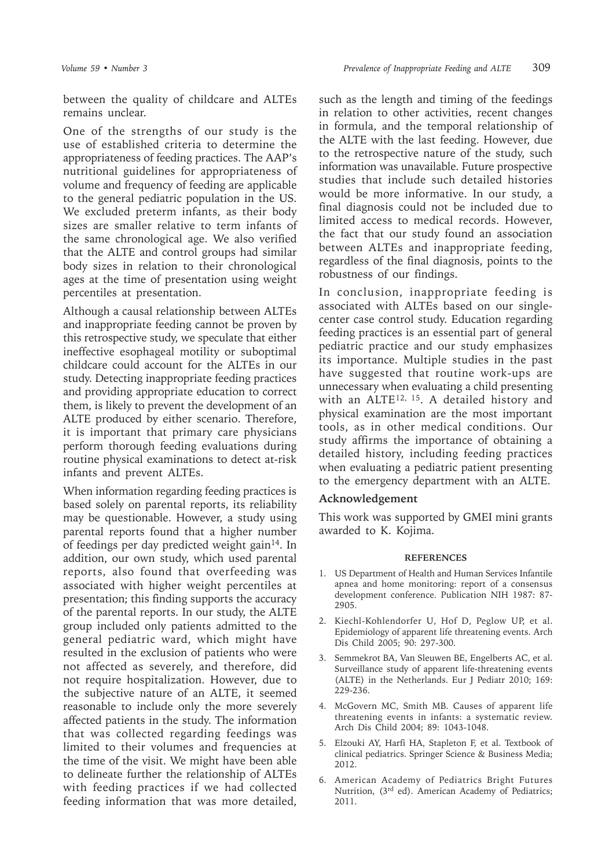between the quality of childcare and ALTEs remains unclear.

One of the strengths of our study is the use of established criteria to determine the appropriateness of feeding practices. The AAP's nutritional guidelines for appropriateness of volume and frequency of feeding are applicable to the general pediatric population in the US. We excluded preterm infants, as their body sizes are smaller relative to term infants of the same chronological age. We also verified that the ALTE and control groups had similar body sizes in relation to their chronological ages at the time of presentation using weight percentiles at presentation.

Although a causal relationship between ALTEs and inappropriate feeding cannot be proven by this retrospective study, we speculate that either ineffective esophageal motility or suboptimal childcare could account for the ALTEs in our study. Detecting inappropriate feeding practices and providing appropriate education to correct them, is likely to prevent the development of an ALTE produced by either scenario. Therefore, it is important that primary care physicians perform thorough feeding evaluations during routine physical examinations to detect at-risk infants and prevent ALTEs.

When information regarding feeding practices is based solely on parental reports, its reliability may be questionable. However, a study using parental reports found that a higher number of feedings per day predicted weight gain<sup>14</sup>. In addition, our own study, which used parental reports, also found that overfeeding was associated with higher weight percentiles at presentation; this finding supports the accuracy of the parental reports. In our study, the ALTE group included only patients admitted to the general pediatric ward, which might have resulted in the exclusion of patients who were not affected as severely, and therefore, did not require hospitalization. However, due to the subjective nature of an ALTE, it seemed reasonable to include only the more severely affected patients in the study. The information that was collected regarding feedings was limited to their volumes and frequencies at the time of the visit. We might have been able to delineate further the relationship of ALTEs with feeding practices if we had collected feeding information that was more detailed,

such as the length and timing of the feedings in relation to other activities, recent changes in formula, and the temporal relationship of the ALTE with the last feeding. However, due to the retrospective nature of the study, such information was unavailable. Future prospective studies that include such detailed histories would be more informative. In our study, a final diagnosis could not be included due to limited access to medical records. However, the fact that our study found an association between ALTEs and inappropriate feeding, regardless of the final diagnosis, points to the robustness of our findings.

In conclusion, inappropriate feeding is associated with ALTEs based on our singlecenter case control study. Education regarding feeding practices is an essential part of general pediatric practice and our study emphasizes its importance. Multiple studies in the past have suggested that routine work-ups are unnecessary when evaluating a child presenting with an ALTE<sup>12, 15</sup>. A detailed history and physical examination are the most important tools, as in other medical conditions. Our study affirms the importance of obtaining a detailed history, including feeding practices when evaluating a pediatric patient presenting to the emergency department with an ALTE.

# **Acknowledgement**

This work was supported by GMEI mini grants awarded to K. Kojima.

#### **REFERENCES**

- 1. US Department of Health and Human Services Infantile apnea and home monitoring: report of a consensus development conference. Publication NIH 1987: 87- 2905.
- 2. Kiechl-Kohlendorfer U, Hof D, Peglow UP, et al. Epidemiology of apparent life threatening events. Arch Dis Child 2005; 90: 297-300.
- 3. Semmekrot BA, Van Sleuwen BE, Engelberts AC, et al. Surveillance study of apparent life-threatening events (ALTE) in the Netherlands. Eur J Pediatr 2010; 169: 229-236.
- 4. McGovern MC, Smith MB. Causes of apparent life threatening events in infants: a systematic review. Arch Dis Child 2004; 89: 1043-1048.
- 5. Elzouki AY, Harfi HA, Stapleton F, et al. Textbook of clinical pediatrics. Springer Science & Business Media; 2012.
- 6. American Academy of Pediatrics Bright Futures Nutrition, (3rd ed). American Academy of Pediatrics; 2011.